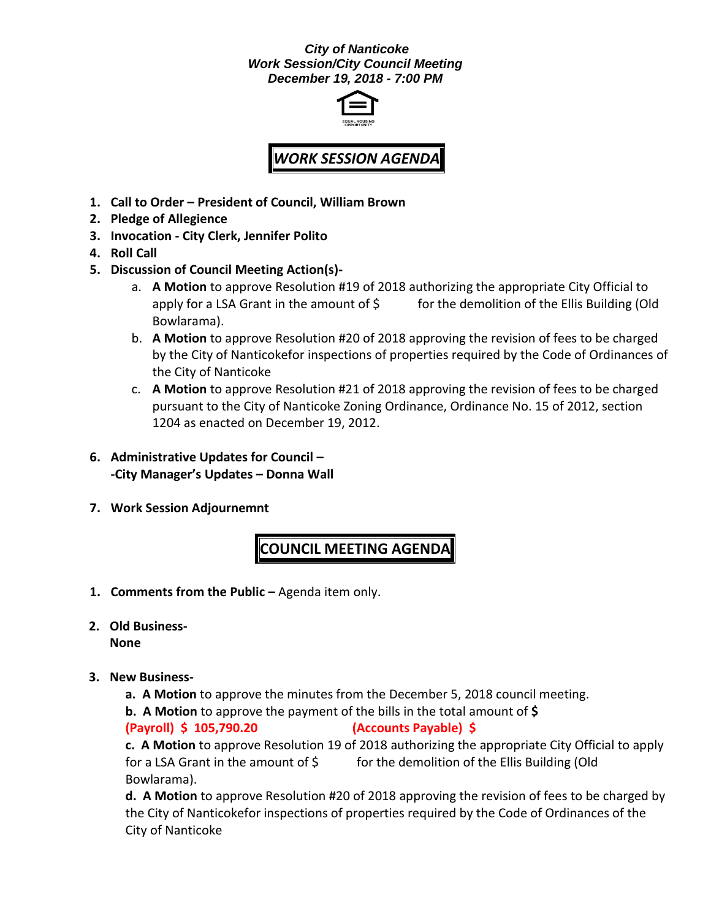## *City of Nanticoke Work Session/City Council Meeting December 19, 2018 - 7:00 PM*



## *WORK SESSION AGENDA*

- **1. Call to Order – President of Council, William Brown**
- **2. Pledge of Allegience**
- **3. Invocation - City Clerk, Jennifer Polito**
- **4. Roll Call**
- **5. Discussion of Council Meeting Action(s)**
	- a. **A Motion** to approve Resolution #19 of 2018 authorizing the appropriate City Official to apply for a LSA Grant in the amount of  $\zeta$  for the demolition of the Ellis Building (Old Bowlarama).
	- b. **A Motion** to approve Resolution #20 of 2018 approving the revision of fees to be charged by the City of Nanticokefor inspections of properties required by the Code of Ordinances of the City of Nanticoke
	- c. **A Motion** to approve Resolution #21 of 2018 approving the revision of fees to be charged pursuant to the City of Nanticoke Zoning Ordinance, Ordinance No. 15 of 2012, section 1204 as enacted on December 19, 2012.
- **6. Administrative Updates for Council – -City Manager's Updates – Donna Wall**
- **7. Work Session Adjournemnt**

## **COUNCIL MEETING AGENDA**

- **1. Comments from the Public –** Agenda item only.
- **2. Old Business-None**
- **3. New Business**
	- **a. A Motion** to approve the minutes from the December 5, 2018 council meeting.
	- **b. A Motion** to approve the payment of the bills in the total amount of **\$**

**(Payroll) \$ 105,790.20 (Accounts Payable) \$**

**c. A Motion** to approve Resolution 19 of 2018 authorizing the appropriate City Official to apply for a LSA Grant in the amount of \$ for the demolition of the Ellis Building (Old Bowlarama).

**d. A Motion** to approve Resolution #20 of 2018 approving the revision of fees to be charged by the City of Nanticokefor inspections of properties required by the Code of Ordinances of the City of Nanticoke